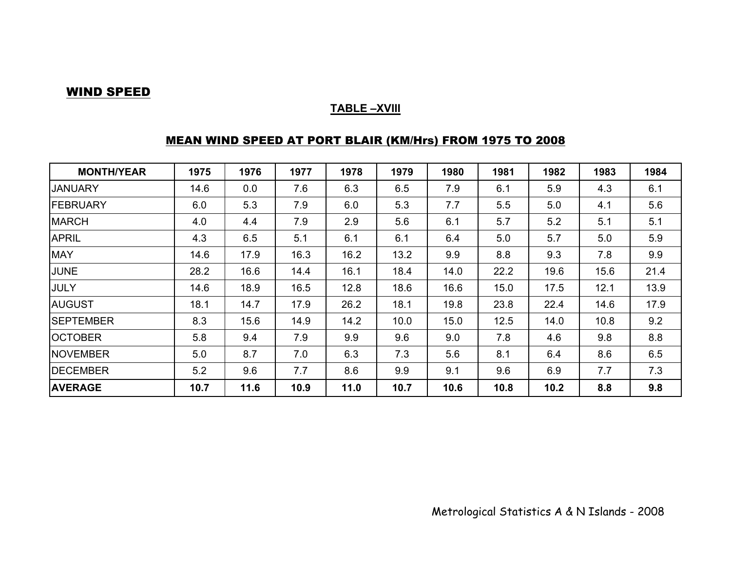#### WIND SPEED

#### **TABLE –XVIII**

## MEAN WIND SPEED AT PORT BLAIR (KM/Hrs) FROM 1975 TO 2008

| <b>MONTH/YEAR</b> | 1975 | 1976 | 1977 | 1978 | 1979 | 1980 | 1981 | 1982 | 1983 | 1984 |
|-------------------|------|------|------|------|------|------|------|------|------|------|
| <b>JANUARY</b>    | 14.6 | 0.0  | 7.6  | 6.3  | 6.5  | 7.9  | 6.1  | 5.9  | 4.3  | 6.1  |
| FEBRUARY          | 6.0  | 5.3  | 7.9  | 6.0  | 5.3  | 7.7  | 5.5  | 5.0  | 4.1  | 5.6  |
| <b>MARCH</b>      | 4.0  | 4.4  | 7.9  | 2.9  | 5.6  | 6.1  | 5.7  | 5.2  | 5.1  | 5.1  |
| <b>APRIL</b>      | 4.3  | 6.5  | 5.1  | 6.1  | 6.1  | 6.4  | 5.0  | 5.7  | 5.0  | 5.9  |
| <b>MAY</b>        | 14.6 | 17.9 | 16.3 | 16.2 | 13.2 | 9.9  | 8.8  | 9.3  | 7.8  | 9.9  |
| <b>JUNE</b>       | 28.2 | 16.6 | 14.4 | 16.1 | 18.4 | 14.0 | 22.2 | 19.6 | 15.6 | 21.4 |
| <b>JULY</b>       | 14.6 | 18.9 | 16.5 | 12.8 | 18.6 | 16.6 | 15.0 | 17.5 | 12.1 | 13.9 |
| <b>AUGUST</b>     | 18.1 | 14.7 | 17.9 | 26.2 | 18.1 | 19.8 | 23.8 | 22.4 | 14.6 | 17.9 |
| <b>SEPTEMBER</b>  | 8.3  | 15.6 | 14.9 | 14.2 | 10.0 | 15.0 | 12.5 | 14.0 | 10.8 | 9.2  |
| <b>OCTOBER</b>    | 5.8  | 9.4  | 7.9  | 9.9  | 9.6  | 9.0  | 7.8  | 4.6  | 9.8  | 8.8  |
| <b>NOVEMBER</b>   | 5.0  | 8.7  | 7.0  | 6.3  | 7.3  | 5.6  | 8.1  | 6.4  | 8.6  | 6.5  |
| <b>DECEMBER</b>   | 5.2  | 9.6  | 7.7  | 8.6  | 9.9  | 9.1  | 9.6  | 6.9  | 7.7  | 7.3  |
| <b>AVERAGE</b>    | 10.7 | 11.6 | 10.9 | 11.0 | 10.7 | 10.6 | 10.8 | 10.2 | 8.8  | 9.8  |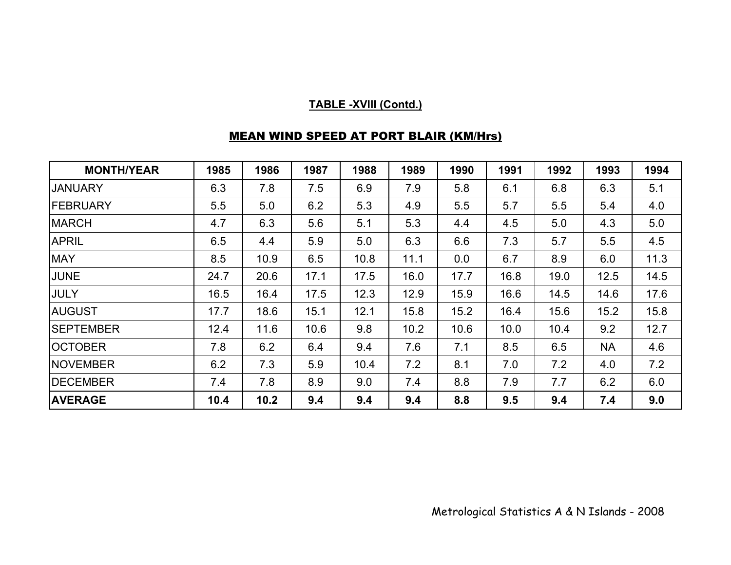## **TABLE -XVIII (Contd.)**

## MEAN WIND SPEED AT PORT BLAIR (KM/Hrs)

| <b>MONTH/YEAR</b> | 1985 | 1986 | 1987 | 1988 | 1989 | 1990 | 1991 | 1992 | 1993      | 1994 |
|-------------------|------|------|------|------|------|------|------|------|-----------|------|
| <b>JANUARY</b>    | 6.3  | 7.8  | 7.5  | 6.9  | 7.9  | 5.8  | 6.1  | 6.8  | 6.3       | 5.1  |
| <b>FEBRUARY</b>   | 5.5  | 5.0  | 6.2  | 5.3  | 4.9  | 5.5  | 5.7  | 5.5  | 5.4       | 4.0  |
| <b>MARCH</b>      | 4.7  | 6.3  | 5.6  | 5.1  | 5.3  | 4.4  | 4.5  | 5.0  | 4.3       | 5.0  |
| <b>APRIL</b>      | 6.5  | 4.4  | 5.9  | 5.0  | 6.3  | 6.6  | 7.3  | 5.7  | 5.5       | 4.5  |
| <b>MAY</b>        | 8.5  | 10.9 | 6.5  | 10.8 | 11.1 | 0.0  | 6.7  | 8.9  | 6.0       | 11.3 |
| JUNE              | 24.7 | 20.6 | 17.1 | 17.5 | 16.0 | 17.7 | 16.8 | 19.0 | 12.5      | 14.5 |
| <b>JULY</b>       | 16.5 | 16.4 | 17.5 | 12.3 | 12.9 | 15.9 | 16.6 | 14.5 | 14.6      | 17.6 |
| <b>AUGUST</b>     | 17.7 | 18.6 | 15.1 | 12.1 | 15.8 | 15.2 | 16.4 | 15.6 | 15.2      | 15.8 |
| <b>SEPTEMBER</b>  | 12.4 | 11.6 | 10.6 | 9.8  | 10.2 | 10.6 | 10.0 | 10.4 | 9.2       | 12.7 |
| <b>OCTOBER</b>    | 7.8  | 6.2  | 6.4  | 9.4  | 7.6  | 7.1  | 8.5  | 6.5  | <b>NA</b> | 4.6  |
| <b>NOVEMBER</b>   | 6.2  | 7.3  | 5.9  | 10.4 | 7.2  | 8.1  | 7.0  | 7.2  | 4.0       | 7.2  |
| <b>IDECEMBER</b>  | 7.4  | 7.8  | 8.9  | 9.0  | 7.4  | 8.8  | 7.9  | 7.7  | 6.2       | 6.0  |
| <b>AVERAGE</b>    | 10.4 | 10.2 | 9.4  | 9.4  | 9.4  | 8.8  | 9.5  | 9.4  | 7.4       | 9.0  |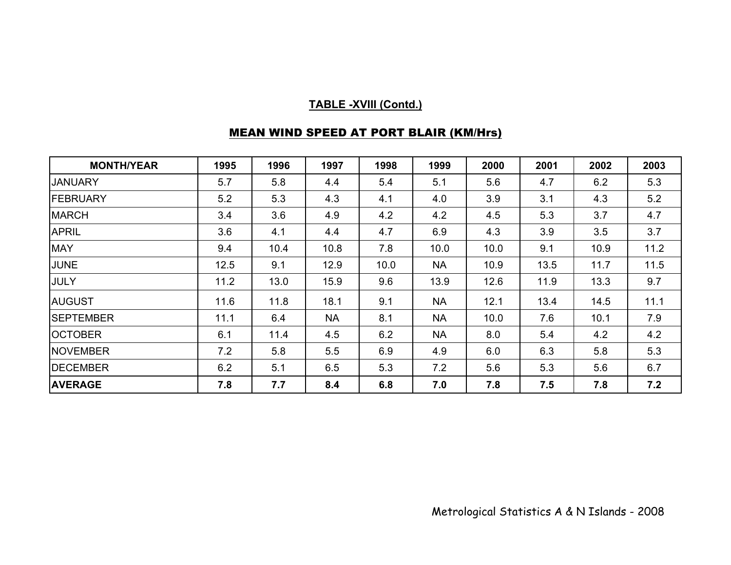## **TABLE -XVIII (Contd.)**

# MEAN WIND SPEED AT PORT BLAIR (KM/Hrs)

| <b>MONTH/YEAR</b> | 1995 | 1996 | 1997      | 1998 | 1999      | 2000 | 2001 | 2002 | 2003 |
|-------------------|------|------|-----------|------|-----------|------|------|------|------|
| <b>JANUARY</b>    | 5.7  | 5.8  | 4.4       | 5.4  | 5.1       | 5.6  | 4.7  | 6.2  | 5.3  |
| <b>FEBRUARY</b>   | 5.2  | 5.3  | 4.3       | 4.1  | 4.0       | 3.9  | 3.1  | 4.3  | 5.2  |
| <b>MARCH</b>      | 3.4  | 3.6  | 4.9       | 4.2  | 4.2       | 4.5  | 5.3  | 3.7  | 4.7  |
| <b>APRIL</b>      | 3.6  | 4.1  | 4.4       | 4.7  | 6.9       | 4.3  | 3.9  | 3.5  | 3.7  |
| <b>MAY</b>        | 9.4  | 10.4 | 10.8      | 7.8  | 10.0      | 10.0 | 9.1  | 10.9 | 11.2 |
| <b>JUNE</b>       | 12.5 | 9.1  | 12.9      | 10.0 | <b>NA</b> | 10.9 | 13.5 | 11.7 | 11.5 |
| <b>JULY</b>       | 11.2 | 13.0 | 15.9      | 9.6  | 13.9      | 12.6 | 11.9 | 13.3 | 9.7  |
| <b>AUGUST</b>     | 11.6 | 11.8 | 18.1      | 9.1  | <b>NA</b> | 12.1 | 13.4 | 14.5 | 11.1 |
| <b>SEPTEMBER</b>  | 11.1 | 6.4  | <b>NA</b> | 8.1  | <b>NA</b> | 10.0 | 7.6  | 10.1 | 7.9  |
| <b>OCTOBER</b>    | 6.1  | 11.4 | 4.5       | 6.2  | <b>NA</b> | 8.0  | 5.4  | 4.2  | 4.2  |
| <b>NOVEMBER</b>   | 7.2  | 5.8  | 5.5       | 6.9  | 4.9       | 6.0  | 6.3  | 5.8  | 5.3  |
| <b>DECEMBER</b>   | 6.2  | 5.1  | 6.5       | 5.3  | 7.2       | 5.6  | 5.3  | 5.6  | 6.7  |
| <b>AVERAGE</b>    | 7.8  | 7.7  | 8.4       | 6.8  | 7.0       | 7.8  | 7.5  | 7.8  | 7.2  |